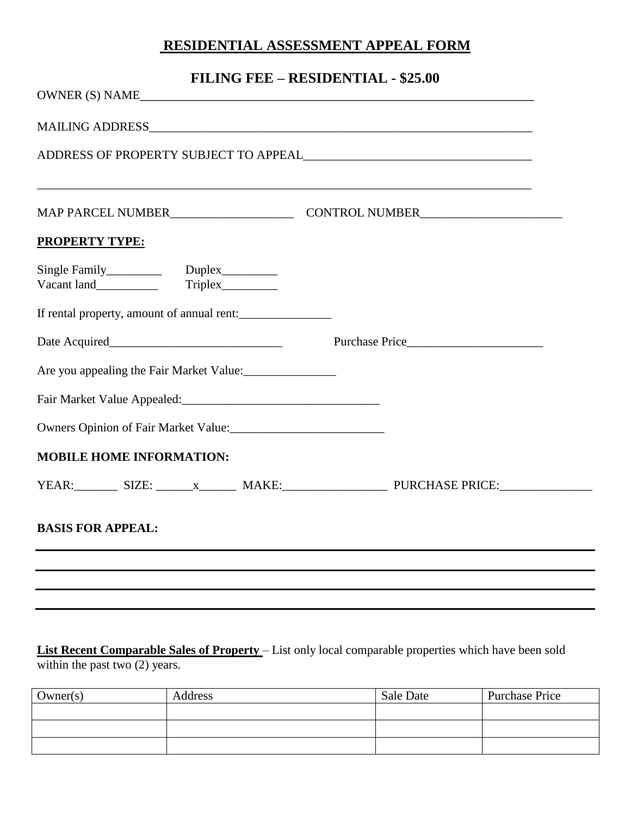## **RESIDENTIAL ASSESSMENT APPEAL FORM**

## **FILING FEE – RESIDENTIAL - \$25.00**

| OWNER (S) NAME                                                                                 |  |  |
|------------------------------------------------------------------------------------------------|--|--|
|                                                                                                |  |  |
|                                                                                                |  |  |
| ,我们也不会有什么。""我们的人,我们也不会有什么?""我们的人,我们也不会有什么?""我们的人,我们也不会有什么?""我们的人,我们也不会有什么?""我们的人               |  |  |
| <b>PROPERTY TYPE:</b>                                                                          |  |  |
|                                                                                                |  |  |
| If rental property, amount of annual rent:                                                     |  |  |
|                                                                                                |  |  |
| Are you appealing the Fair Market Value:                                                       |  |  |
|                                                                                                |  |  |
| Owners Opinion of Fair Market Value:<br><u>Letting and the Community of Fair Market Value:</u> |  |  |
| <b>MOBILE HOME INFORMATION:</b>                                                                |  |  |
|                                                                                                |  |  |
| <b>BASIS FOR APPEAL:</b>                                                                       |  |  |
|                                                                                                |  |  |
|                                                                                                |  |  |

**List Recent Comparable Sales of Property** – List only local comparable properties which have been sold within the past two (2) years.

| Owner(s) | Address | Sale Date | <b>Purchase Price</b> |
|----------|---------|-----------|-----------------------|
|          |         |           |                       |
|          |         |           |                       |
|          |         |           |                       |